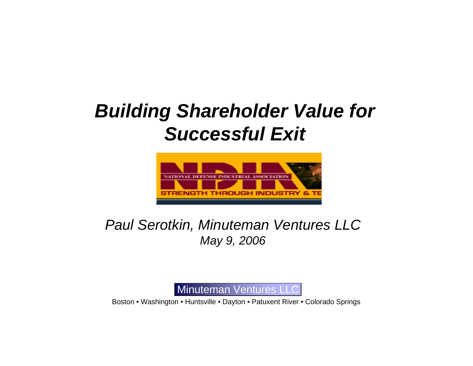# *Building Shareholder Value for Successful Exit*



### *Paul Serotkin, Minuteman Ventures LLC May 9, 2006*



Boston • Washington • Huntsville • Dayton • Patuxent River • Colorado Springs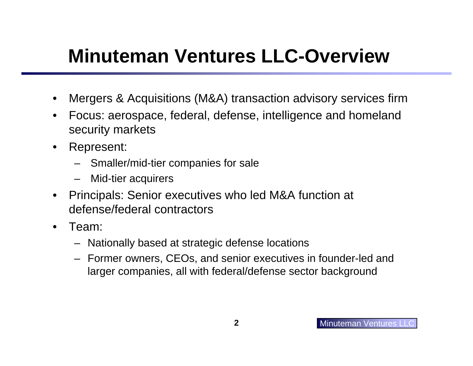# **Minuteman Ventures LLC-Overview**

- $\bullet$ Mergers & Acquisitions (M&A) transaction advisory services firm
- $\bullet$  Focus: aerospace, federal, defense, intelligence and homeland security markets
- $\bullet$  Represent:
	- Smaller/mid-tier companies for sale
	- –Mid-tier acquirers
- $\bullet$  Principals: Senior executives who led M&A function at defense/federal contractors
- $\bullet$  Team:
	- Nationally based at strategic defense locations
	- Former owners, CEOs, and senior executives in founder-led and larger companies, all with federal/defense sector background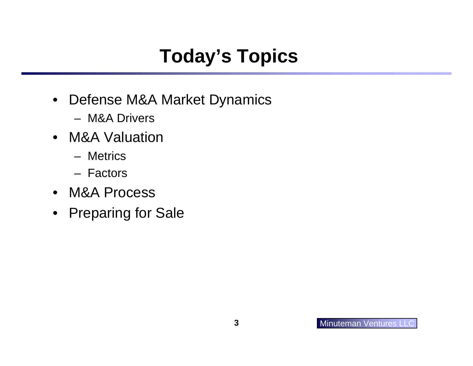# **Today's Topics**

- $\bullet$  Defense M&A Market Dynamics
	- M&A Drivers
- M&A Valuation
	- Metrics
	- Factors
- M&A Process
- Preparing for Sale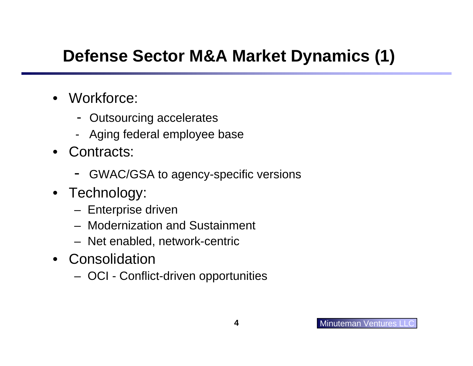## **Defense Sector M&A Market Dynamics (1)**

- Workforce:
	- Outsourcing accelerates
	- Aging federal employee base
- Contracts:
	- GWAC/GSA to agency-specific versions
- Technology:
	- Enterprise driven
	- Modernization and Sustainment
	- Net enabled, network-centric
- Consolidation
	- OCI Conflict-driven opportunities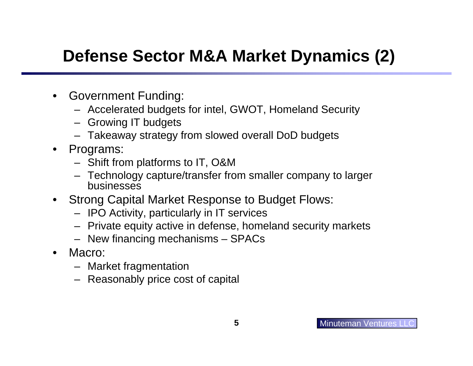## **Defense Sector M&A Market Dynamics (2)**

- $\bullet$  Government Funding:
	- Accelerated budgets for intel, GWOT, Homeland Security
	- Growing IT budgets
	- Takeaway strategy from slowed overall DoD budgets
- $\bullet$  Programs:
	- Shift from platforms to IT, O&M
	- Technology capture/transfer from smaller company to larger businesses
- $\bullet$  Strong Capital Market Response to Budget Flows:
	- IPO Activity, particularly in IT services
	- Private equity active in defense, homeland security markets
	- New financing mechanisms SPACs
- $\bullet$  Macro:
	- Market fragmentation
	- Reasonably price cost of capital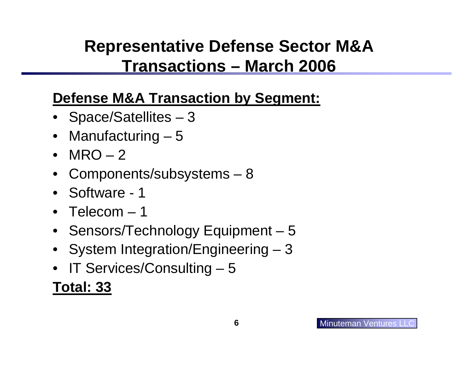## **Representative Defense Sector M&A Transactions – March 2006**

### **Defense M&A Transaction by Segment:**

- Space/Satellites 3
- $\bullet$ Manufacturing – 5
- MRO 2
- Components/subsystems 8
- Software 1
- Telecom 1
- Sensors/Technology Equipment 5
- System Integration/Engineering 3
- •IT Services/Consulting – 5

### **Total: 33**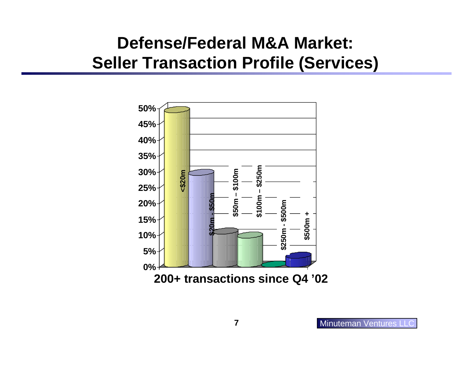### **Defense/Federal M&A Market: Seller Transaction Profile (Services)**

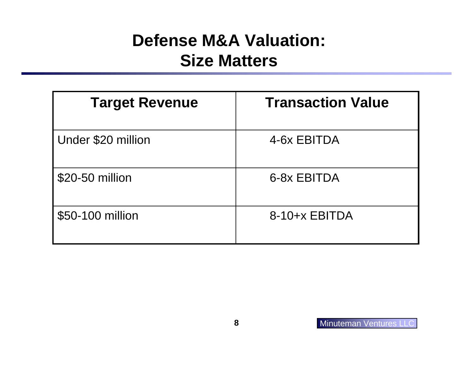### **Defense M&A Valuation: Size Matters**

| <b>Target Revenue</b> | <b>Transaction Value</b> |
|-----------------------|--------------------------|
| Under \$20 million    | 4-6x EBITDA              |
| \$20-50 million       | 6-8x EBITDA              |
| \$50-100 million      | $8-10+x$ EBITDA          |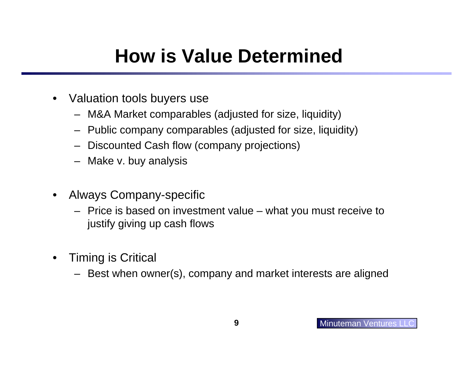# **How is Value Determined**

- $\bullet$  Valuation tools buyers use
	- M&A Market comparables (adjusted for size, liquidity)
	- Public company comparables (adjusted for size, liquidity)
	- Discounted Cash flow (company projections)
	- Make v. buy analysis
- $\bullet$  Always Company-specific
	- Price is based on investment value what you must receive to justify giving up cash flows
- $\bullet$  Timing is Critical
	- Best when owner(s), company and market interests are aligned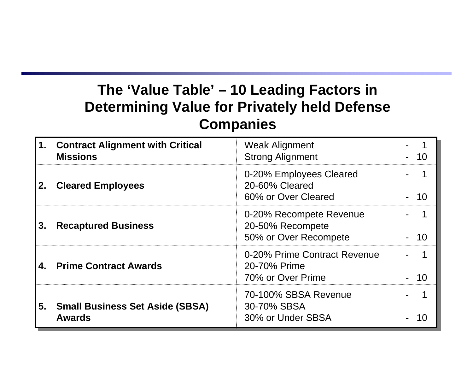### **The 'Value Table' – 10 Leading Factors in Determining Value for Privately held Defense Companies**

|    | 1. Contract Alignment with Critical<br><b>Missions</b>  | <b>Weak Alignment</b><br><b>Strong Alignment</b>                     |  |
|----|---------------------------------------------------------|----------------------------------------------------------------------|--|
|    | <b>Cleared Employees</b>                                | 0-20% Employees Cleared<br>20-60% Cleared<br>60% or Over Cleared     |  |
| 3. | <b>Recaptured Business</b>                              | 0-20% Recompete Revenue<br>20-50% Recompete<br>50% or Over Recompete |  |
|    | <b>Prime Contract Awards</b>                            | 0-20% Prime Contract Revenue<br>20-70% Prime<br>70% or Over Prime    |  |
| 5. | <b>Small Business Set Aside (SBSA)</b><br><b>Awards</b> | 70-100% SBSA Revenue<br>30-70% SBSA<br>30% or Under SBSA             |  |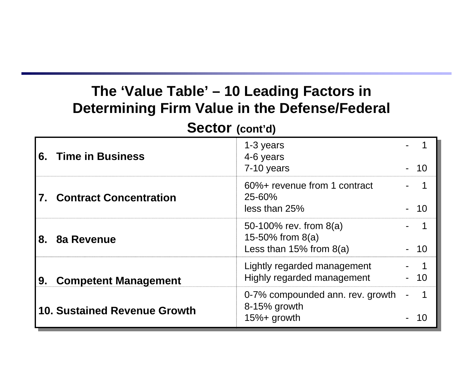### **The 'Value Table' – 10 Leading Factors in Determining Firm Value in the Defense/Federal**

#### **Sector (cont'd)**

| 6. | <b>Time in Business</b>      | 1-3 years<br>4-6 years<br>7-10 years                                           |           |
|----|------------------------------|--------------------------------------------------------------------------------|-----------|
|    | 7. Contract Concentration    | 60%+ revenue from 1 contract<br>25-60%<br>less than 25%                        | <b>10</b> |
| 8. | 8a Revenue                   | 50-100% rev. from $8(a)$<br>15-50% from $8(a)$<br>Less than $15\%$ from $8(a)$ |           |
| 9. | <b>Competent Management</b>  | Lightly regarded management<br>Highly regarded management                      | 10        |
|    | 10. Sustained Revenue Growth | 0-7% compounded ann. rev. growth<br>$8-15%$ growth<br>$15%$ + growth           |           |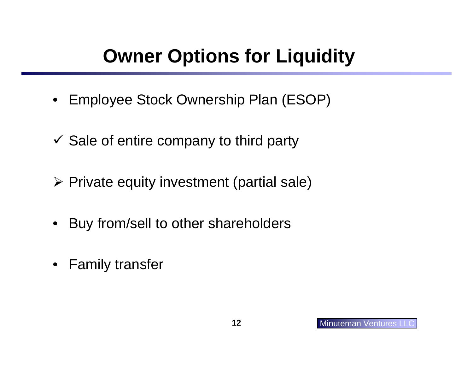# **Owner Options for Liquidity**

- Employee Stock Ownership Plan (ESOP)
- $\checkmark$  Sale of entire company to third party
- ¾ Private equity investment (partial sale)
- $\bullet$ Buy from/sell to other shareholders
- $\bullet$ Family transfer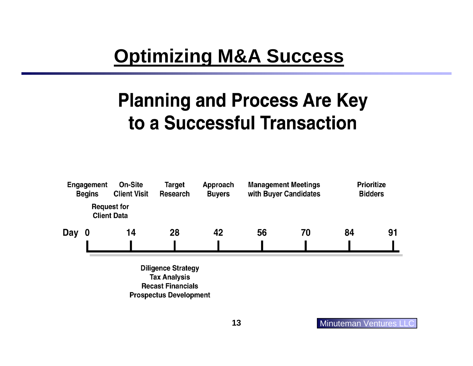## **Optimizing M&A Success**

# **Planning and Process Are Key** to a Successful Transaction



**Diligence Strategy Tax Analysis Recast Financials Prospectus Development**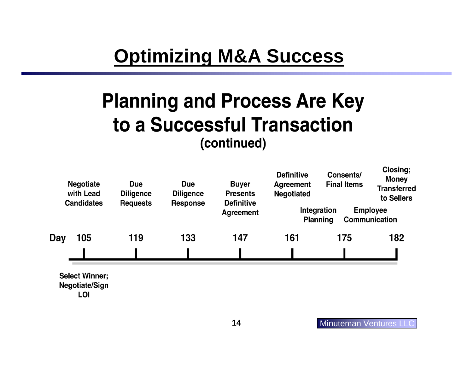## **Optimizing M&A Success**

## **Planning and Process Are Key** to a Successful Transaction (continued)

| <b>Negotiate</b><br>with Lead<br><b>Candidates</b> | Due<br>Due<br><b>Diligence</b><br><b>Diligence</b><br><b>Requests</b><br><b>Response</b> | <b>Buyer</b><br><b>Presents</b><br><b>Definitive</b> | <b>Definitive</b><br><b>Agreement</b><br><b>Negotiated</b> | Consents/<br><b>Final Items</b> | uusii q,<br><b>Money</b><br><b>Transferred</b><br>to Sellers       |     |     |
|----------------------------------------------------|------------------------------------------------------------------------------------------|------------------------------------------------------|------------------------------------------------------------|---------------------------------|--------------------------------------------------------------------|-----|-----|
|                                                    |                                                                                          |                                                      |                                                            | <b>Agreement</b>                | Integration<br><b>Employee</b><br>Communication<br><b>Planning</b> |     |     |
| Day                                                | 105                                                                                      | 119                                                  | 133                                                        | 147                             | 161                                                                | 175 | 182 |
|                                                    |                                                                                          |                                                      |                                                            |                                 |                                                                    |     |     |
|                                                    | <b>Select Winner;</b><br>Negotiate/Sign                                                  |                                                      |                                                            |                                 |                                                                    |     |     |

LOI

Closing: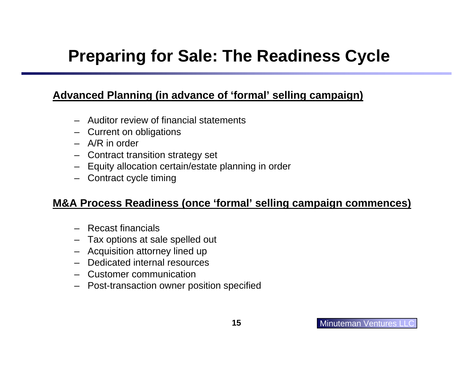## **Preparing for Sale: The Readiness Cycle**

#### **Advanced Planning (in advance of 'formal' selling campaign)**

- Auditor review of financial statements
- Current on obligations
- A/R in order
- Contract transition strategy set
- Equity allocation certain/estate planning in order
- Contract cycle timing

#### **M&A Process Readiness (once 'formal' selling campaign commences)**

- Recast financials
- Tax options at sale spelled out
- Acquisition attorney lined up
- –Dedicated internal resources
- –Customer communication
- Post-transaction owner position specified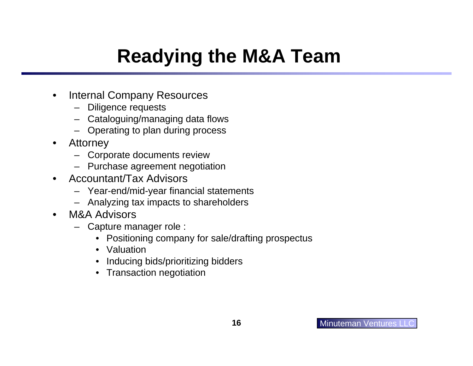# **Readying the M&A Team**

- $\bullet$  Internal Company Resources
	- –Diligence requests
	- Cataloguing/managing data flows
	- –Operating to plan during process
- $\bullet$  Attorney
	- Corporate documents review
	- Purchase agreement negotiation
- $\bullet$  Accountant/Tax Advisors
	- Year-end/mid-year financial statements
	- Analyzing tax impacts to shareholders
- • M&A Advisors
	- – Capture manager role :
		- Positioning company for sale/drafting prospectus
		- Valuation
		- •Inducing bids/prioritizing bidders
		- Transaction negotiation